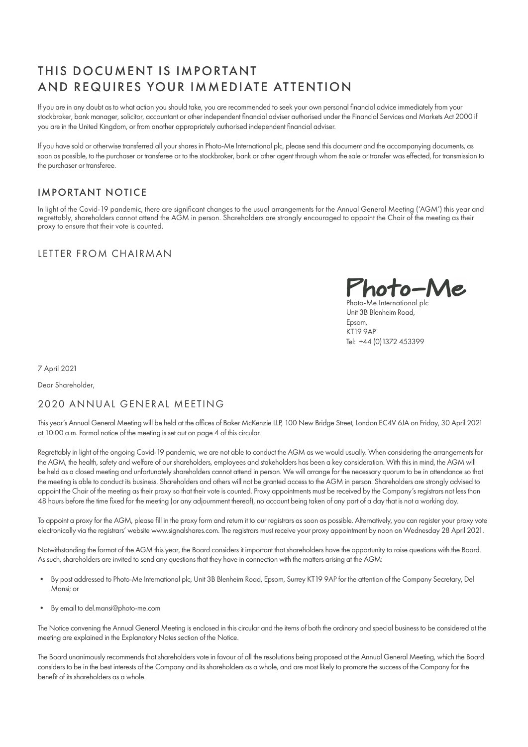# THIS DOCUMENT IS IMPORTANT AND REQUIRES YOUR IMMEDIATE ATTENTION

If you are in any doubt as to what action you should take, you are recommended to seek your own personal financial advice immediately from your stockbroker, bank manager, solicitor, accountant or other independent financial adviser authorised under the Financial Services and Markets Act 2000 if you are in the United Kingdom, or from another appropriately authorised independent financial adviser.

If you have sold or otherwise transferred all your shares in Photo-Me International plc, please send this document and the accompanying documents, as soon as possible, to the purchaser or transferee or to the stockbroker, bank or other agent through whom the sale or transfer was effected, for transmission to the purchaser or transferee.

# IMPORTANT NOTICE

In light of the Covid-19 pandemic, there are significant changes to the usual arrangements for the Annual General Meeting ('AGM') this year and regrettably, shareholders cannot attend the AGM in person. Shareholders are strongly encouraged to appoint the Chair of the meeting as their proxy to ensure that their vote is counted.

# LETTER FROM CHAIRMAN

Photo-Me

Photo-Me International plc Unit 3B Blenheim Road, Epsom, KT19 9AP Tel: +44 (0)1372 453399

7 April 2021

Dear Shareholder,

# 2020 ANNUAL GENERAL MEETING

This year's Annual General Meeting will be held at the offices of Baker McKenzie LLP, 100 New Bridge Street, London EC4V 6JA on Friday, 30 April 2021 at 10:00 a.m. Formal notice of the meeting is set out on page 4 of this circular.

Regrettably in light of the ongoing Covid-19 pandemic, we are not able to conduct the AGM as we would usually. When considering the arrangements for the AGM, the health, safety and welfare of our shareholders, employees and stakeholders has been a key consideration. With this in mind, the AGM will be held as a closed meeting and unfortunately shareholders cannot attend in person. We will arrange for the necessary quorum to be in attendance so that the meeting is able to conduct its business. Shareholders and others will not be granted access to the AGM in person. Shareholders are strongly advised to appoint the Chair of the meeting as their proxy so that their vote is counted. Proxy appointments must be received by the Company's registrars not less than 48 hours before the time fixed for the meeting (or any adjournment thereof), no account being taken of any part of a day that is not a working day.

To appoint a proxy for the AGM, please fill in the proxy form and return it to our registrars as soon as possible. Alternatively, you can register your proxy vote electronically via the registrars' website www.signalshares.com. The registrars must receive your proxy appointment by noon on Wednesday 28 April 2021.

Notwithstanding the format of the AGM this year, the Board considers it important that shareholders have the opportunity to raise questions with the Board. As such, shareholders are invited to send any questions that they have in connection with the matters arising at the AGM:

- By post addressed to Photo-Me International plc, Unit 3B Blenheim Road, Epsom, Surrey KT19 9AP for the attention of the Company Secretary, Del Mansi; or
- By email to del.mansi@photo-me.com

The Notice convening the Annual General Meeting is enclosed in this circular and the items of both the ordinary and special business to be considered at the meeting are explained in the Explanatory Notes section of the Notice.

The Board unanimously recommends that shareholders vote in favour of all the resolutions being proposed at the Annual General Meeting, which the Board considers to be in the best interests of the Company and its shareholders as a whole, and are most likely to promote the success of the Company for the benefit of its shareholders as a whole.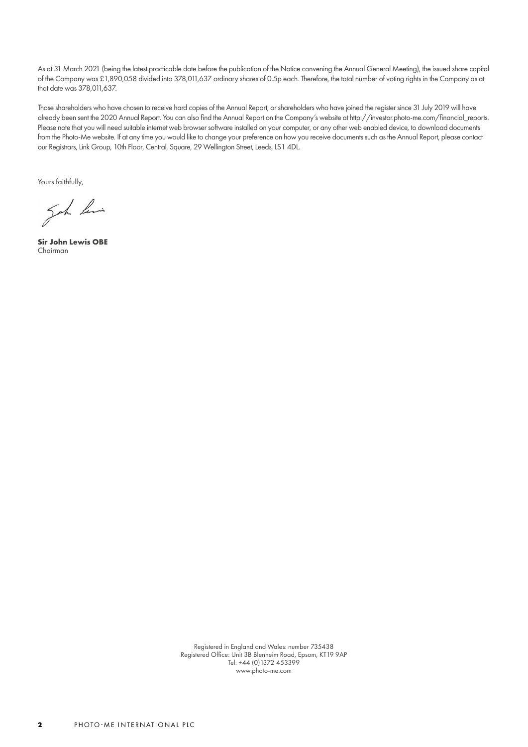As at 31 March 2021 (being the latest practicable date before the publication of the Notice convening the Annual General Meeting), the issued share capital of the Company was £1,890,058 divided into 378,011,637 ordinary shares of 0.5p each. Therefore, the total number of voting rights in the Company as at that date was 378,011,637.

Those shareholders who have chosen to receive hard copies of the Annual Report, or shareholders who have joined the register since 31 July 2019 will have already been sent the 2020 Annual Report. You can also find the Annual Report on the Company's website at http://investor.photo-me.com/financial\_reports. Please note that you will need suitable internet web browser software installed on your computer, or any other web enabled device, to download documents from the Photo-Me website. If at any time you would like to change your preference on how you receive documents such as the Annual Report, please contact our Registrars, Link Group, 10th Floor, Central, Square, 29 Wellington Street, Leeds, LS1 4DL.

Yours faithfully,

got his

**Sir John Lewis OBE** Chairman

Registered in England and Wales: number 735438 Registered Office: Unit 3B Blenheim Road, Epsom, KT19 9AP Tel: +44 (0)1372 453399 www.photo-me.com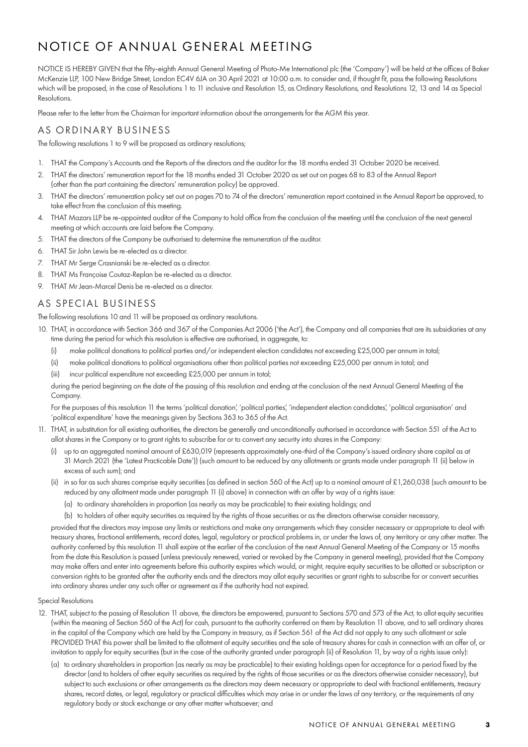# NOTICE OF ANNUAL GENERAL MEETING

NOTICE IS HEREBY GIVEN that the fifty-eighth Annual General Meeting of Photo-Me International plc (the 'Company') will be held at the offices of Baker McKenzie LLP, 100 New Bridge Street, London EC4V 6JA on 30 April 2021 at 10:00 a.m. to consider and, if thought fit, pass the following Resolutions which will be proposed, in the case of Resolutions 1 to 11 inclusive and Resolution 15, as Ordinary Resolutions, and Resolutions 12, 13 and 14 as Special Resolutions.

Please refer to the letter from the Chairman for important information about the arrangements for the AGM this year.

# AS ORDINARY BUSINESS

The following resolutions 1 to 9 will be proposed as ordinary resolutions;

- 1. THAT the Company's Accounts and the Reports of the directors and the auditor for the 18 months ended 31 October 2020 be received.
- 2. THAT the directors' remuneration report for the 18 months ended 31 October 2020 as set out on pages 68 to 83 of the Annual Report (other than the part containing the directors' remuneration policy) be approved.
- 3. THAT the directors' remuneration policy set out on pages 70 to 74 of the directors' remuneration report contained in the Annual Report be approved, to take effect from the conclusion of this meeting.
- 4. THAT Mazars LLP be re-appointed auditor of the Company to hold office from the conclusion of the meeting until the conclusion of the next general meeting at which accounts are laid before the Company.
- 5. THAT the directors of the Company be authorised to determine the remuneration of the auditor.
- 6. THAT Sir John Lewis be re-elected as a director.
- 7. THAT Mr Serge Crasnianski be re-elected as a director.
- 8. THAT Ms Françoise Coutaz-Replan be re-elected as a director.
- 9. THAT Mr Jean-Marcel Denis be re-elected as a director.

# AS SPECIAL BUSINESS

The following resolutions 10 and 11 will be proposed as ordinary resolutions.

- 10. THAT, in accordance with Section 366 and 367 of the Companies Act 2006 ('the Act'), the Company and all companies that are its subsidiaries at any time during the period for which this resolution is effective are authorised, in aggregate, to:
	- (i) make political donations to political parties and/or independent election candidates not exceeding £25,000 per annum in total;
	- (ii) make political donations to political organisations other than political parties not exceeding £25,000 per annum in total; and
	- (iii) incur political expenditure not exceeding £25,000 per annum in total;

during the period beginning on the date of the passing of this resolution and ending at the conclusion of the next Annual General Meeting of the Company

For the purposes of this resolution 11 the terms 'political donation', 'political parties', 'independent election candidates', 'political organisation' and 'political expenditure' have the meanings given by Sections 363 to 365 of the Act.

- 11. THAT, in substitution for all existing authorities, the directors be generally and unconditionally authorised in accordance with Section 551 of the Act to allot shares in the Company or to grant rights to subscribe for or to convert any security into shares in the Company:
	- (i) up to an aggregated nominal amount of £630,019 (represents approximately one-third of the Company's issued ordinary share capital as at 31 March 2021 (the 'Latest Practicable Date')) (such amount to be reduced by any allotments or grants made under paragraph 11 (ii) below in excess of such sum); and
	- (ii) in so far as such shares comprise equity securities (as defined in section 560 of the Act) up to a nominal amount of £1,260,038 (such amount to be reduced by any allotment made under paragraph 11 (i) above) in connection with an offer by way of a rights issue:
		- (a) to ordinary shareholders in proportion (as nearly as may be practicable) to their existing holdings; and
		- (b) to holders of other equity securities as required by the rights of those securities or as the directors otherwise consider necessary,

 provided that the directors may impose any limits or restrictions and make any arrangements which they consider necessary or appropriate to deal with treasury shares, fractional entitlements, record dates, legal, regulatory or practical problems in, or under the laws of, any territory or any other matter. The authority conferred by this resolution 11 shall expire at the earlier of the conclusion of the next Annual General Meeting of the Company or 15 months from the date this Resolution is passed (unless previously renewed, varied or revoked by the Company in general meeting), provided that the Company may make offers and enter into agreements before this authority expires which would, or might, require equity securities to be allotted or subscription or conversion rights to be granted after the authority ends and the directors may allot equity securities or grant rights to subscribe for or convert securities into ordinary shares under any such offer or agreement as if the authority had not expired.

#### Special Resolutions

- 12. THAT, subject to the passing of Resolution 11 above, the directors be empowered, pursuant to Sections 570 and 573 of the Act, to allot equity securities (within the meaning of Section 560 of the Act) for cash, pursuant to the authority conferred on them by Resolution 11 above, and to sell ordinary shares in the capital of the Company which are held by the Company in treasury, as if Section 561 of the Act did not apply to any such allotment or sale PROVIDED THAT this power shall be limited to the allotment of equity securities and the sale of treasury shares for cash in connection with an offer of, or invitation to apply for equity securities (but in the case of the authority granted under paragraph (ii) of Resolution 11, by way of a rights issue only):
	- (a) to ordinary shareholders in proportion (as nearly as may be practicable) to their existing holdings open for acceptance for a period fixed by the director (and to holders of other equity securities as required by the rights of those securities or as the directors otherwise consider necessary), but subject to such exclusions or other arrangements as the directors may deem necessary or appropriate to deal with fractional entitlements, treasury shares, record dates, or legal, regulatory or practical difficulties which may arise in or under the laws of any territory, or the requirements of any regulatory body or stock exchange or any other matter whatsoever; and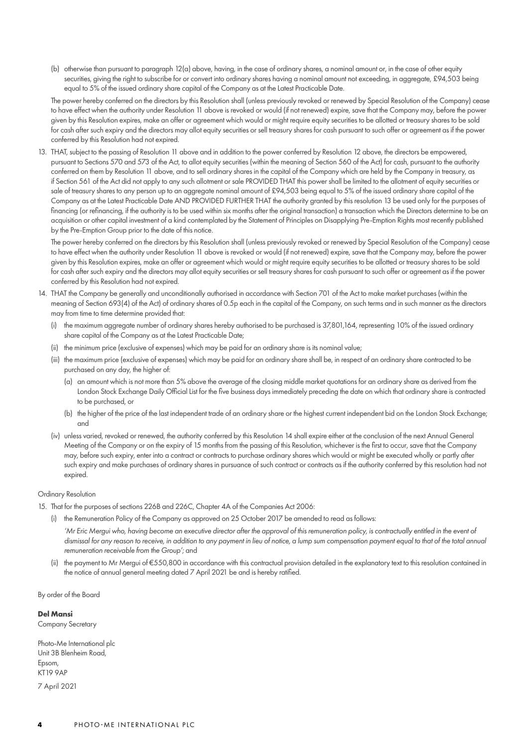(b) otherwise than pursuant to paragraph 12(a) above, having, in the case of ordinary shares, a nominal amount or, in the case of other equity securities, giving the right to subscribe for or convert into ordinary shares having a nominal amount not exceeding, in aggregate, £94,503 being equal to 5% of the issued ordinary share capital of the Company as at the Latest Practicable Date.

The power hereby conferred on the directors by this Resolution shall (unless previously revoked or renewed by Special Resolution of the Company) cease to have effect when the authority under Resolution 11 above is revoked or would (if not renewed) expire, save that the Company may, before the power given by this Resolution expires, make an offer or agreement which would or might require equity securities to be allotted or treasury shares to be sold for cash after such expiry and the directors may allot equity securities or sell treasury shares for cash pursuant to such offer or agreement as if the power conferred by this Resolution had not expired.

13. THAT, subject to the passing of Resolution 11 above and in addition to the power conferred by Resolution 12 above, the directors be empowered, pursuant to Sections 570 and 573 of the Act, to allot equity securities (within the meaning of Section 560 of the Act) for cash, pursuant to the authority conferred on them by Resolution 11 above, and to sell ordinary shares in the capital of the Company which are held by the Company in treasury, as if Section 561 of the Act did not apply to any such allotment or sale PROVIDED THAT this power shall be limited to the allotment of equity securities or sale of treasury shares to any person up to an aggregate nominal amount of £94,503 being equal to 5% of the issued ordinary share capital of the Company as at the Latest Practicable Date AND PROVIDED FURTHER THAT the authority granted by this resolution 13 be used only for the purposes of financing (or refinancing, if the authority is to be used within six months after the original transaction) a transaction which the Directors determine to be an acquisition or other capital investment of a kind contemplated by the Statement of Principles on Disapplying Pre-Emption Rights most recently published by the Pre-Emption Group prior to the date of this notice.

The power hereby conferred on the directors by this Resolution shall (unless previously revoked or renewed by Special Resolution of the Company) cease to have effect when the authority under Resolution 11 above is revoked or would (if not renewed) expire, save that the Company may, before the power given by this Resolution expires, make an offer or agreement which would or might require equity securities to be allotted or treasury shares to be sold for cash after such expiry and the directors may allot equity securities or sell treasury shares for cash pursuant to such offer or agreement as if the power conferred by this Resolution had not expired.

- 14. THAT the Company be generally and unconditionally authorised in accordance with Section 701 of the Act to make market purchases (within the meaning of Section 693(4) of the Act) of ordinary shares of 0.5p each in the capital of the Company, on such terms and in such manner as the directors may from time to time determine provided that:
	- (i) the maximum aggregate number of ordinary shares hereby authorised to be purchased is 37,801,164, representing 10% of the issued ordinary share capital of the Company as at the Latest Practicable Date;
	- (ii) the minimum price (exclusive of expenses) which may be paid for an ordinary share is its nominal value;
	- (iii) the maximum price (exclusive of expenses) which may be paid for an ordinary share shall be, in respect of an ordinary share contracted to be purchased on any day, the higher of:
		- (a) an amount which is not more than 5% above the average of the closing middle market quotations for an ordinary share as derived from the London Stock Exchange Daily Official List for the five business days immediately preceding the date on which that ordinary share is contracted to be purchased, or
		- (b) the higher of the price of the last independent trade of an ordinary share or the highest current independent bid on the London Stock Exchange; and
	- (iv) unless varied, revoked or renewed, the authority conferred by this Resolution 14 shall expire either at the conclusion of the next Annual General Meeting of the Company or on the expiry of 15 months from the passing of this Resolution, whichever is the first to occur, save that the Company may, before such expiry, enter into a contract or contracts to purchase ordinary shares which would or might be executed wholly or partly after such expiry and make purchases of ordinary shares in pursuance of such contract or contracts as if the authority conferred by this resolution had not expired.

#### Ordinary Resolution

- 15. That for the purposes of sections 226B and 226C, Chapter 4A of the Companies Act 2006:
	- (i) the Remuneration Policy of the Company as approved on 25 October 2017 be amended to read as follows:
		- *'Mr Eric Mergui who, having become an executive director after the approval of this remuneration policy, is contractually entitled in the event of dismissal for any reason to receive, in addition to any payment in lieu of notice, a lump sum compensation payment equal to that of the total annual remuneration receivable from the Group';* and
	- (ii) the payment to Mr Mergui of €550,800 in accordance with this contractual provision detailed in the explanatory text to this resolution contained in the notice of annual general meeting dated 7 April 2021 be and is hereby ratified.

By order of the Board

#### **Del Mansi**

Company Secretary

Photo-Me International plc Unit 3B Blenheim Road, Epsom, KT19 9AP

7 April 2021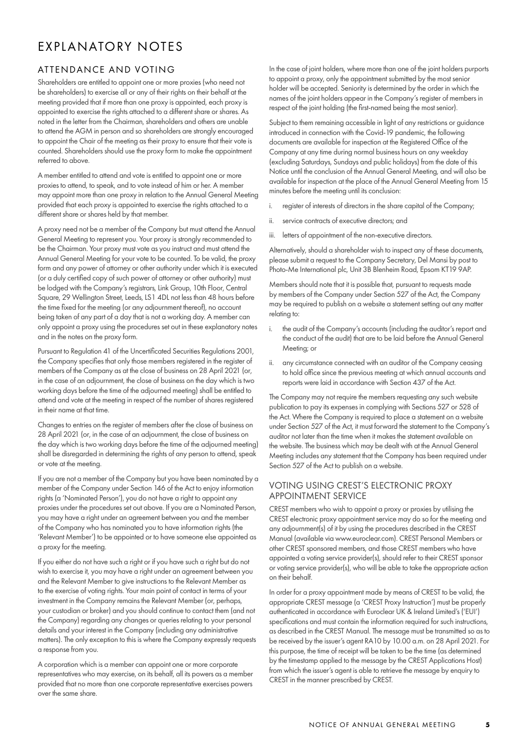# EXPLANATORY NOTES

# ATTENDANCE AND VOTING

Shareholders are entitled to appoint one or more proxies (who need not be shareholders) to exercise all or any of their rights on their behalf at the meeting provided that if more than one proxy is appointed, each proxy is appointed to exercise the rights attached to a different share or shares. As noted in the letter from the Chairman, shareholders and others are unable to attend the AGM in person and so shareholders are strongly encouraged to appoint the Chair of the meeting as their proxy to ensure that their vote is counted. Shareholders should use the proxy form to make the appointment referred to above.

A member entitled to attend and vote is entitled to appoint one or more proxies to attend, to speak, and to vote instead of him or her. A member may appoint more than one proxy in relation to the Annual General Meeting provided that each proxy is appointed to exercise the rights attached to a different share or shares held by that member.

A proxy need not be a member of the Company but must attend the Annual General Meeting to represent you. Your proxy is strongly recommended to be the Chairman. Your proxy must vote as you instruct and must attend the Annual General Meeting for your vote to be counted. To be valid, the proxy form and any power of attorney or other authority under which it is executed (or a duly certified copy of such power of attorney or other authority) must be lodged with the Company's registrars, Link Group, 10th Floor, Central Square, 29 Wellington Street, Leeds, LS1 4DL not less than 48 hours before the time fixed for the meeting (or any adjournment thereof), no account being taken of any part of a day that is not a working day. A member can only appoint a proxy using the procedures set out in these explanatory notes and in the notes on the proxy form.

Pursuant to Regulation 41 of the Uncertificated Securities Regulations 2001, the Company specifies that only those members registered in the register of members of the Company as at the close of business on 28 April 2021 (or, in the case of an adjournment, the close of business on the day which is two working days before the time of the adjourned meeting) shall be entitled to attend and vote at the meeting in respect of the number of shares registered in their name at that time.

Changes to entries on the register of members after the close of business on 28 April 2021 (or, in the case of an adjournment, the close of business on the day which is two working days before the time of the adjourned meeting) shall be disregarded in determining the rights of any person to attend, speak or vote at the meeting.

If you are not a member of the Company but you have been nominated by a member of the Company under Section 146 of the Act to enjoy information rights (a 'Nominated Person'), you do not have a right to appoint any proxies under the procedures set out above. If you are a Nominated Person, you may have a right under an agreement between you and the member of the Company who has nominated you to have information rights (the 'Relevant Member') to be appointed or to have someone else appointed as a proxy for the meeting.

If you either do not have such a right or if you have such a right but do not wish to exercise it, you may have a right under an agreement between you and the Relevant Member to give instructions to the Relevant Member as to the exercise of voting rights. Your main point of contact in terms of your investment in the Company remains the Relevant Member (or, perhaps, your custodian or broker) and you should continue to contact them (and not the Company) regarding any changes or queries relating to your personal details and your interest in the Company (including any administrative matters). The only exception to this is where the Company expressly requests a response from you.

A corporation which is a member can appoint one or more corporate representatives who may exercise, on its behalf, all its powers as a member provided that no more than one corporate representative exercises powers over the same share.

In the case of joint holders, where more than one of the joint holders purports to appoint a proxy, only the appointment submitted by the most senior holder will be accepted. Seniority is determined by the order in which the names of the joint holders appear in the Company's register of members in respect of the joint holding (the first-named being the most senior).

Subject to them remaining accessible in light of any restrictions or guidance introduced in connection with the Covid-19 pandemic, the following documents are available for inspection at the Registered Office of the Company at any time during normal business hours on any weekday (excluding Saturdays, Sundays and public holidays) from the date of this Notice until the conclusion of the Annual General Meeting, and will also be available for inspection at the place of the Annual General Meeting from 15 minutes before the meeting until its conclusion:

- i. register of interests of directors in the share capital of the Company;
- ii. service contracts of executive directors; and
- iii. letters of appointment of the non-executive directors.

Alternatively, should a shareholder wish to inspect any of these documents, please submit a request to the Company Secretary, Del Mansi by post to Photo-Me International plc, Unit 3B Blenheim Road, Epsom KT19 9AP.

Members should note that it is possible that, pursuant to requests made by members of the Company under Section 527 of the Act, the Company may be required to publish on a website a statement setting out any matter relating to:

- i. the audit of the Company's accounts (including the auditor's report and the conduct of the audit) that are to be laid before the Annual General Meeting; or
- ii. any circumstance connected with an auditor of the Company ceasing to hold office since the previous meeting at which annual accounts and reports were laid in accordance with Section 437 of the Act.

The Company may not require the members requesting any such website publication to pay its expenses in complying with Sections 527 or 528 of the Act. Where the Company is required to place a statement on a website under Section 527 of the Act, it must forward the statement to the Company's auditor not later than the time when it makes the statement available on the website. The business which may be dealt with at the Annual General Meeting includes any statement that the Company has been required under Section 527 of the Act to publish on a website.

# VOTING USING CREST'S ELECTRONIC PROXY APPOINTMENT SERVICE

CREST members who wish to appoint a proxy or proxies by utilising the CREST electronic proxy appointment service may do so for the meeting and any adjournment(s) of it by using the procedures described in the CREST Manual (available via www.euroclear.com). CREST Personal Members or other CREST sponsored members, and those CREST members who have appointed a voting service provider(s), should refer to their CREST sponsor or voting service provider(s), who will be able to take the appropriate action on their behalf.

In order for a proxy appointment made by means of CREST to be valid, the appropriate CREST message (a 'CREST Proxy Instruction') must be properly authenticated in accordance with Euroclear UK & Ireland Limited's ('EUI') specifications and must contain the information required for such instructions, as described in the CREST Manual. The message must be transmitted so as to be received by the issuer's agent RA10 by 10.00 a.m. on 28 April 2021. For this purpose, the time of receipt will be taken to be the time (as determined by the timestamp applied to the message by the CREST Applications Host) from which the issuer's agent is able to retrieve the message by enquiry to CREST in the manner prescribed by CREST.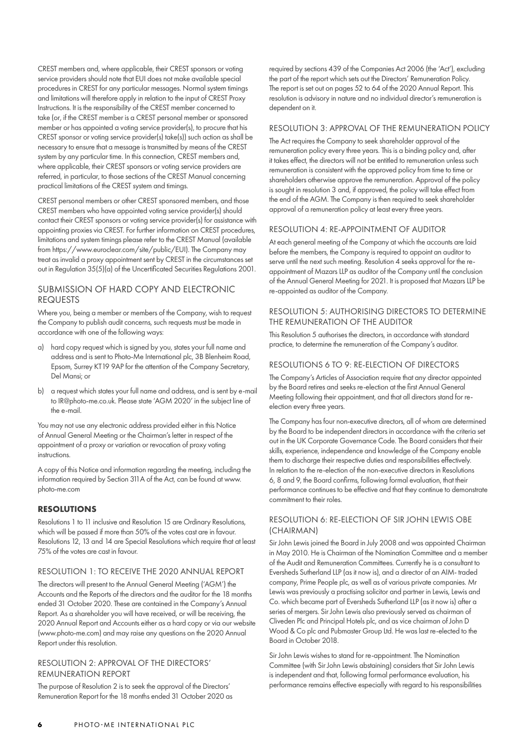CREST members and, where applicable, their CREST sponsors or voting service providers should note that EUI does not make available special procedures in CREST for any particular messages. Normal system timings and limitations will therefore apply in relation to the input of CREST Proxy Instructions. It is the responsibility of the CREST member concerned to take (or, if the CREST member is a CREST personal member or sponsored member or has appointed a voting service provider(s), to procure that his CREST sponsor or voting service provider(s) take(s)) such action as shall be necessary to ensure that a message is transmitted by means of the CREST system by any particular time. In this connection, CREST members and, where applicable, their CREST sponsors or voting service providers are referred, in particular, to those sections of the CREST Manual concerning practical limitations of the CREST system and timings.

CREST personal members or other CREST sponsored members, and those CREST members who have appointed voting service provider(s) should contact their CREST sponsors or voting service provider(s) for assistance with appointing proxies via CREST. For further information on CREST procedures, limitations and system timings please refer to the CREST Manual (available from https://www.euroclear.com/site/public/EUI). The Company may treat as invalid a proxy appointment sent by CREST in the circumstances set out in Regulation 35(5)(a) of the Uncertificated Securities Regulations 2001.

# SUBMISSION OF HARD COPY AND ELECTRONIC REQUESTS

Where you, being a member or members of the Company, wish to request the Company to publish audit concerns, such requests must be made in accordance with one of the following ways:

- a) hard copy request which is signed by you, states your full name and address and is sent to Photo-Me International plc, 3B Blenheim Road, Epsom, Surrey KT19 9AP for the attention of the Company Secretary, Del Mansi; or
- b) a request which states your full name and address, and is sent by e-mail to IR@photo-me.co.uk. Please state 'AGM 2020' in the subject line of the e-mail.

You may not use any electronic address provided either in this Notice of Annual General Meeting or the Chairman's letter in respect of the appointment of a proxy or variation or revocation of proxy voting instructions.

A copy of this Notice and information regarding the meeting, including the information required by Section 311A of the Act, can be found at www. photo-me.com

# **RESOLUTIONS**

Resolutions 1 to 11 inclusive and Resolution 15 are Ordinary Resolutions, which will be passed if more than 50% of the votes cast are in favour. Resolutions 12, 13 and 14 are Special Resolutions which require that at least 75% of the votes are cast in favour.

# RESOLUTION 1: TO RECEIVE THE 2020 ANNUAL REPORT

The directors will present to the Annual General Meeting ('AGM') the Accounts and the Reports of the directors and the auditor for the 18 months ended 31 October 2020. These are contained in the Company's Annual Report. As a shareholder you will have received, or will be receiving, the 2020 Annual Report and Accounts either as a hard copy or via our website (www.photo-me.com) and may raise any questions on the 2020 Annual Report under this resolution.

### RESOLUTION 2: APPROVAL OF THE DIRECTORS' REMUNERATION REPORT

The purpose of Resolution 2 is to seek the approval of the Directors' Remuneration Report for the 18 months ended 31 October 2020 as required by sections 439 of the Companies Act 2006 (the 'Act'), excluding the part of the report which sets out the Directors' Remuneration Policy. The report is set out on pages 52 to 64 of the 2020 Annual Report. This resolution is advisory in nature and no individual director's remuneration is dependent on it.

### RESOLUTION 3: APPROVAL OF THE REMUNERATION POLICY

The Act requires the Company to seek shareholder approval of the remuneration policy every three years. This is a binding policy and, after it takes effect, the directors will not be entitled to remuneration unless such remuneration is consistent with the approved policy from time to time or shareholders otherwise approve the remuneration. Approval of the policy is sought in resolution 3 and, if approved, the policy will take effect from the end of the AGM. The Company is then required to seek shareholder approval of a remuneration policy at least every three years.

# RESOLUTION 4: RE-APPOINTMENT OF AUDITOR

At each general meeting of the Company at which the accounts are laid before the members, the Company is required to appoint an auditor to serve until the next such meeting. Resolution 4 seeks approval for the reappointment of Mazars LLP as auditor of the Company until the conclusion of the Annual General Meeting for 2021. It is proposed that Mazars LLP be re-appointed as auditor of the Company.

# RESOLUTION 5: AUTHORISING DIRECTORS TO DETERMINE THE REMUNERATION OF THE AUDITOR

This Resolution 5 authorises the directors, in accordance with standard practice, to determine the remuneration of the Company's auditor.

## RESOLUTIONS 6 TO 9: RE-ELECTION OF DIRECTORS

The Company's Articles of Association require that any director appointed by the Board retires and seeks re-election at the first Annual General Meeting following their appointment, and that all directors stand for reelection every three years.

The Company has four non-executive directors, all of whom are determined by the Board to be independent directors in accordance with the criteria set out in the UK Corporate Governance Code. The Board considers that their skills, experience, independence and knowledge of the Company enable them to discharge their respective duties and responsibilities effectively. In relation to the re-election of the non-executive directors in Resolutions 6, 8 and 9, the Board confirms, following formal evaluation, that their performance continues to be effective and that they continue to demonstrate commitment to their roles.

# RESOLUTION 6: RE-ELECTION OF SIR JOHN LEWIS OBE (CHAIRMAN)

Sir John Lewis joined the Board in July 2008 and was appointed Chairman in May 2010. He is Chairman of the Nomination Committee and a member of the Audit and Remuneration Committees. Currently he is a consultant to Eversheds Sutherland LLP (as it now is), and a director of an AIM- traded company, Prime People plc, as well as of various private companies. Mr Lewis was previously a practising solicitor and partner in Lewis, Lewis and Co. which became part of Eversheds Sutherland LLP (as it now is) after a series of mergers. Sir John Lewis also previously served as chairman of Cliveden Plc and Principal Hotels plc, and as vice chairman of John D Wood & Co plc and Pubmaster Group Ltd. He was last re-elected to the Board in October 2018.

Sir John Lewis wishes to stand for re-appointment. The Nomination Committee (with Sir John Lewis abstaining) considers that Sir John Lewis is independent and that, following formal performance evaluation, his performance remains effective especially with regard to his responsibilities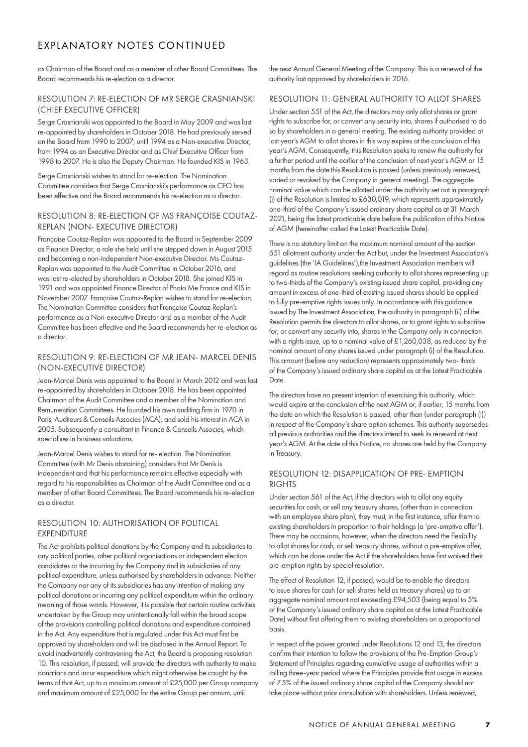# EXPLANATORY NOTES CONTINUED

as Chairman of the Board and as a member of other Board Committees. The Board recommends his re-election as a director.

## RESOLUTION 7: RE-ELECTION OF MR SERGE CRASNIANSKI (CHIEF EXECUTIVE OFFICER)

Serge Crasnianski was appointed to the Board in May 2009 and was last re-appointed by shareholders in October 2018. He had previously served on the Board from 1990 to 2007; until 1994 as a Non-executive Director, from 1994 as an Executive Director and as Chief Executive Officer from 1998 to 2007. He is also the Deputy Chairman. He founded KIS in 1963.

Serge Crasnianski wishes to stand for re-election. The Nomination Committee considers that Serge Crasnianski's performance as CEO has been effective and the Board recommends his re-election as a director.

## RESOLUTION 8: RE-ELECTION OF MS FRANÇOISE COUTAZ-REPLAN (NON- EXECUTIVE DIRECTOR)

Françoise Coutaz-Replan was appointed to the Board in September 2009 as Finance Director, a role she held until she stepped down in August 2015 and becoming a non-independent Non-executive Director. Ms Coutaz-Replan was appointed to the Audit Committee in October 2016, and was last re-elected by shareholders in October 2018. She joined KIS in 1991 and was appointed Finance Director of Photo Me France and KIS in November 2007. Françoise Coutaz-Replan wishes to stand for re-election. The Nomination Committee considers that Françoise Coutaz-Replan's performance as a Non-executive Director and as a member of the Audit Committee has been effective and the Board recommends her re-election as a director.

# RESOLUTION 9: RE-ELECTION OF MR JEAN- MARCEL DENIS (NON-EXECUTIVE DIRECTOR)

Jean-Marcel Denis was appointed to the Board in March 2012 and was last re-appointed by shareholders in October 2018. He has been appointed Chairman of the Audit Committee and a member of the Nomination and Remuneration Committees. He founded his own auditing firm in 1970 in Paris, Auditeurs & Conseils Associes (ACA), and sold his interest in ACA in 2005. Subsequently a consultant in Finance & Conseils Associes, which specialises in business valuations.

Jean-Marcel Denis wishes to stand for re- election. The Nomination Committee (with Mr Denis abstaining) considers that Mr Denis is independent and that his performance remains effective especially with regard to his responsibilities as Chairman of the Audit Committee and as a member of other Board Committees. The Board recommends his re-election as a director.

## RESOLUTION 10: AUTHORISATION OF POLITICAL **EXPENDITURE**

The Act prohibits political donations by the Company and its subsidiaries to any political parties, other political organisations or independent election candidates or the incurring by the Company and its subsidiaries of any political expenditure, unless authorised by shareholders in advance. Neither the Company nor any of its subsidiaries has any intention of making any political donations or incurring any political expenditure within the ordinary meaning of those words. However, it is possible that certain routine activities undertaken by the Group may unintentionally fall within the broad scope of the provisions controlling political donations and expenditure contained in the Act. Any expenditure that is regulated under this Act must first be approved by shareholders and will be disclosed in the Annual Report. To avoid inadvertently contravening the Act, the Board is proposing resolution 10. This resolution, if passed, will provide the directors with authority to make donations and incur expenditure which might otherwise be caught by the terms of that Act, up to a maximum amount of £25,000 per Group company and maximum amount of £25,000 for the entire Group per annum, until

the next Annual General Meeting of the Company. This is a renewal of the authority last approved by shareholders in 2016.

# RESOLUTION 11: GENERAL AUTHORITY TO ALLOT SHARES

Under section 551 of the Act, the directors may only allot shares or grant rights to subscribe for, or convert any security into, shares if authorised to do so by shareholders in a general meeting. The existing authority provided at last year's AGM to allot shares in this way expires at the conclusion of this year's AGM. Consequently, this Resolution seeks to renew the authority for a further period until the earlier of the conclusion of next year's AGM or 15 months from the date this Resolution is passed (unless previously renewed, varied or revoked by the Company in general meeting). The aggregate nominal value which can be allotted under the authority set out in paragraph (i) of the Resolution is limited to £630,019, which represents approximately one-third of the Company's issued ordinary share capital as at 31 March 2021, being the latest practicable date before the publication of this Notice of AGM (hereinafter called the Latest Practicable Date).

There is no statutory limit on the maximum nominal amount of the section 551 allotment authority under the Act but, under the Investment Association's guidelines (the 'IA Guidelines'), the Investment Association members will regard as routine resolutions seeking authority to allot shares representing up to two-thirds of the Company's existing issued share capital, providing any amount in excess of one-third of existing issued shares should be applied to fully pre-emptive rights issues only. In accordance with this guidance issued by The Investment Association, the authority in paragraph (ii) of the Resolution permits the directors to allot shares, or to grant rights to subscribe for, or convert any security into, shares in the Company only in connection with a rights issue, up to a nominal value of £1,260,038, as reduced by the nominal amount of any shares issued under paragraph (i) of the Resolution. This amount (before any reduction) represents approximately two- thirds of the Company's issued ordinary share capital as at the Latest Practicable Date.

The directors have no present intention of exercising this authority, which would expire at the conclusion of the next AGM or, if earlier, 15 months from the date on which the Resolution is passed, other than (under paragraph (i)) in respect of the Company's share option schemes. This authority supersedes all previous authorities and the directors intend to seek its renewal at next year's AGM. At the date of this Notice, no shares are held by the Company in Treasury.

# RESOLUTION 12: DISAPPLICATION OF PRE- EMPTION **RIGHTS**

Under section 561 of the Act, if the directors wish to allot any equity securities for cash, or sell any treasury shares, (other than in connection with an employee share plan), they must, in the first instance, offer them to existing shareholders in proportion to their holdings (a 'pre-emptive offer'). There may be occasions, however, when the directors need the flexibility to allot shares for cash, or sell treasury shares, without a pre-emptive offer, which can be done under the Act if the shareholders have first waived their pre-emption rights by special resolution.

The effect of Resolution 12, if passed, would be to enable the directors to issue shares for cash (or sell shares held as treasury shares) up to an aggregate nominal amount not exceeding £94,503 (being equal to 5% of the Company's issued ordinary share capital as at the Latest Practicable Date) without first offering them to existing shareholders on a proportional basis.

In respect of the power granted under Resolutions 12 and 13, the directors confirm their intention to follow the provisions of the Pre-Emption Group's Statement of Principles regarding cumulative usage of authorities within a rolling three-year period where the Principles provide that usage in excess of 7.5% of the issued ordinary share capital of the Company should not take place without prior consultation with shareholders. Unless renewed,